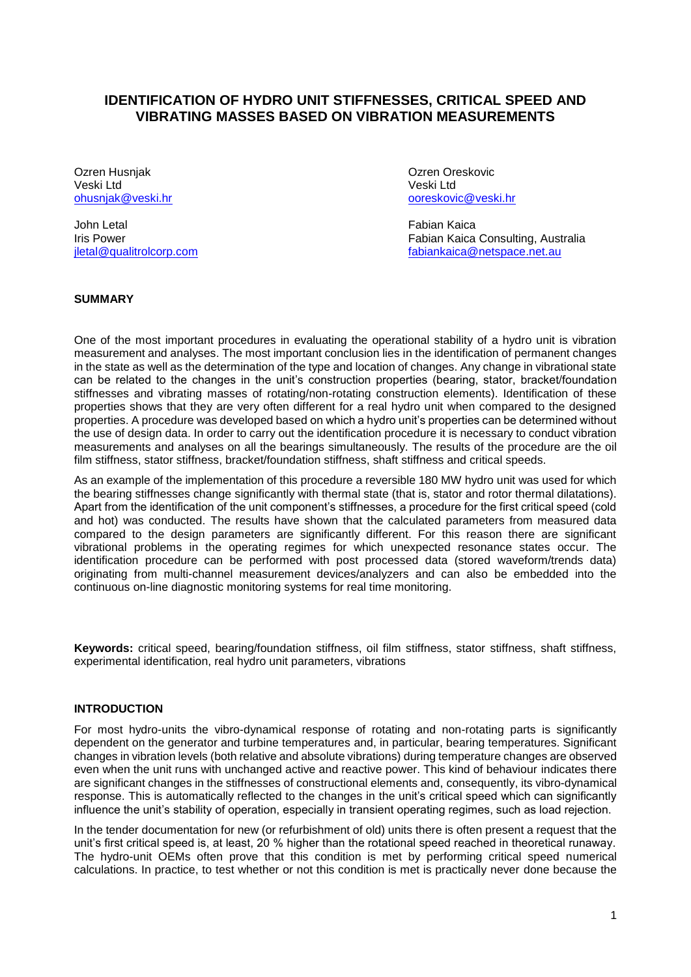# **IDENTIFICATION OF HYDRO UNIT STIFFNESSES, CRITICAL SPEED AND VIBRATING MASSES BASED ON VIBRATION MEASUREMENTS**

Ozren Husnjak Ozren Oreskovic Veski Ltd<br>
veski Ltd<br>
ohusniak@veski.hr

John Letal Fabian Kaica

[ooreskovic@v](mailto:ooreskovic@)eski.hr

Iris Power<br>
Iris Power<br>
iletal@qualitrolcorp.com<br>
fabiankaica@netspace.net.au [fabiankaica@netspace.net.au](mailto:fabiankaica@netspace.net.au)

### **SUMMARY**

One of the most important procedures in evaluating the operational stability of a hydro unit is vibration measurement and analyses. The most important conclusion lies in the identification of permanent changes in the state as well as the determination of the type and location of changes. Any change in vibrational state can be related to the changes in the unit's construction properties (bearing, stator, bracket/foundation stiffnesses and vibrating masses of rotating/non-rotating construction elements). Identification of these properties shows that they are very often different for a real hydro unit when compared to the designed properties. A procedure was developed based on which a hydro unit's properties can be determined without the use of design data. In order to carry out the identification procedure it is necessary to conduct vibration measurements and analyses on all the bearings simultaneously. The results of the procedure are the oil film stiffness, stator stiffness, bracket/foundation stiffness, shaft stiffness and critical speeds.

As an example of the implementation of this procedure a reversible 180 MW hydro unit was used for which the bearing stiffnesses change significantly with thermal state (that is, stator and rotor thermal dilatations). Apart from the identification of the unit component's stiffnesses, a procedure for the first critical speed (cold and hot) was conducted. The results have shown that the calculated parameters from measured data compared to the design parameters are significantly different. For this reason there are significant vibrational problems in the operating regimes for which unexpected resonance states occur. The identification procedure can be performed with post processed data (stored waveform/trends data) originating from multi-channel measurement devices/analyzers and can also be embedded into the continuous on-line diagnostic monitoring systems for real time monitoring.

**Keywords:** critical speed, bearing/foundation stiffness, oil film stiffness, stator stiffness, shaft stiffness, experimental identification, real hydro unit parameters, vibrations

### **INTRODUCTION**

For most hydro-units the vibro-dynamical response of rotating and non-rotating parts is significantly dependent on the generator and turbine temperatures and, in particular, bearing temperatures. Significant changes in vibration levels (both relative and absolute vibrations) during temperature changes are observed even when the unit runs with unchanged active and reactive power. This kind of behaviour indicates there are significant changes in the stiffnesses of constructional elements and, consequently, its vibro-dynamical response. This is automatically reflected to the changes in the unit's critical speed which can significantly influence the unit's stability of operation, especially in transient operating regimes, such as load rejection.

In the tender documentation for new (or refurbishment of old) units there is often present a request that the unit's first critical speed is, at least, 20 % higher than the rotational speed reached in theoretical runaway. The hydro-unit OEMs often prove that this condition is met by performing critical speed numerical calculations. In practice, to test whether or not this condition is met is practically never done because the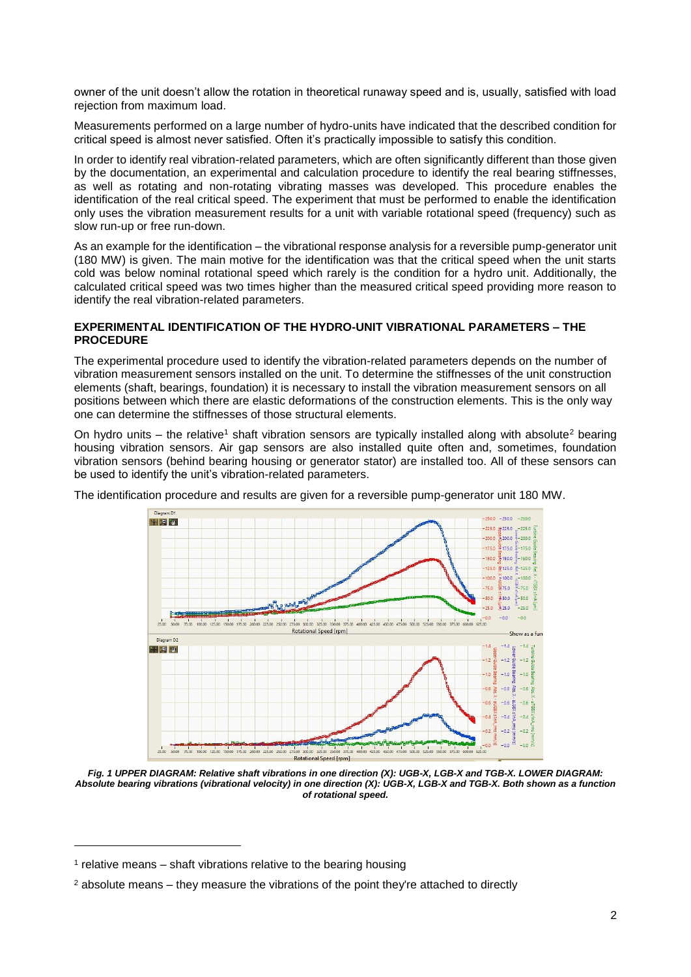owner of the unit doesn't allow the rotation in theoretical runaway speed and is, usually, satisfied with load rejection from maximum load.

Measurements performed on a large number of hydro-units have indicated that the described condition for critical speed is almost never satisfied. Often it's practically impossible to satisfy this condition.

In order to identify real vibration-related parameters, which are often significantly different than those given by the documentation, an experimental and calculation procedure to identify the real bearing stiffnesses, as well as rotating and non-rotating vibrating masses was developed. This procedure enables the identification of the real critical speed. The experiment that must be performed to enable the identification only uses the vibration measurement results for a unit with variable rotational speed (frequency) such as slow run-up or free run-down.

As an example for the identification – the vibrational response analysis for a reversible pump-generator unit (180 MW) is given. The main motive for the identification was that the critical speed when the unit starts cold was below nominal rotational speed which rarely is the condition for a hydro unit. Additionally, the calculated critical speed was two times higher than the measured critical speed providing more reason to identify the real vibration-related parameters.

### **EXPERIMENTAL IDENTIFICATION OF THE HYDRO-UNIT VIBRATIONAL PARAMETERS – THE PROCEDURE**

The experimental procedure used to identify the vibration-related parameters depends on the number of vibration measurement sensors installed on the unit. To determine the stiffnesses of the unit construction elements (shaft, bearings, foundation) it is necessary to install the vibration measurement sensors on all positions between which there are elastic deformations of the construction elements. This is the only way one can determine the stiffnesses of those structural elements.

On hydro units – the relative<sup>1</sup> shaft vibration sensors are typically installed along with absolute<sup>2</sup> bearing housing vibration sensors. Air gap sensors are also installed quite often and, sometimes, foundation vibration sensors (behind bearing housing or generator stator) are installed too. All of these sensors can be used to identify the unit's vibration-related parameters.

The identification procedure and results are given for a reversible pump-generator unit 180 MW.



<span id="page-1-0"></span>*Fig. 1 UPPER DIAGRAM: Relative shaft vibrations in one direction (X): UGB-X, LGB-X and TGB-X. LOWER DIAGRAM: Absolute bearing vibrations (vibrational velocity) in one direction (X): UGB-X, LGB-X and TGB-X. Both shown as a function of rotational speed.*

l

<sup>&</sup>lt;sup>1</sup> relative means – shaft vibrations relative to the bearing housing

 $<sup>2</sup>$  absolute means – they measure the vibrations of the point they're attached to directly</sup>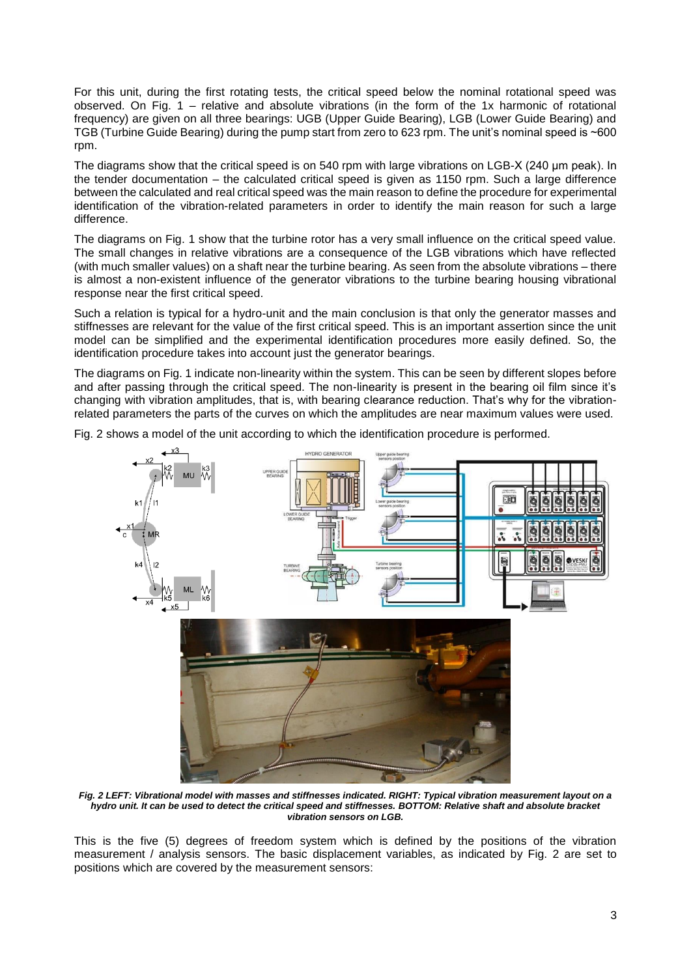For this unit, during the first rotating tests, the critical speed below the nominal rotational speed was observed. On [Fig. 1](#page-1-0) – relative and absolute vibrations (in the form of the 1x harmonic of rotational frequency) are given on all three bearings: UGB (Upper Guide Bearing), LGB (Lower Guide Bearing) and TGB (Turbine Guide Bearing) during the pump start from zero to 623 rpm. The unit's nominal speed is ~600 rpm.

The diagrams show that the critical speed is on 540 rpm with large vibrations on LGB-X (240 µm peak). In the tender documentation – the calculated critical speed is given as 1150 rpm. Such a large difference between the calculated and real critical speed was the main reason to define the procedure for experimental identification of the vibration-related parameters in order to identify the main reason for such a large difference.

The diagrams on [Fig. 1](#page-1-0) show that the turbine rotor has a very small influence on the critical speed value. The small changes in relative vibrations are a consequence of the LGB vibrations which have reflected (with much smaller values) on a shaft near the turbine bearing. As seen from the absolute vibrations – there is almost a non-existent influence of the generator vibrations to the turbine bearing housing vibrational response near the first critical speed.

Such a relation is typical for a hydro-unit and the main conclusion is that only the generator masses and stiffnesses are relevant for the value of the first critical speed. This is an important assertion since the unit model can be simplified and the experimental identification procedures more easily defined. So, the identification procedure takes into account just the generator bearings.

The diagrams o[n Fig. 1](#page-1-0) indicate non-linearity within the system. This can be seen by different slopes before and after passing through the critical speed. The non-linearity is present in the bearing oil film since it's changing with vibration amplitudes, that is, with bearing clearance reduction. That's why for the vibrationrelated parameters the parts of the curves on which the amplitudes are near maximum values were used.



[Fig. 2](#page-2-0) shows a model of the unit according to which the identification procedure is performed.

<span id="page-2-0"></span>*Fig. 2 LEFT: Vibrational model with masses and stiffnesses indicated. RIGHT: Typical vibration measurement layout on a hydro unit. It can be used to detect the critical speed and stiffnesses. BOTTOM: Relative shaft and absolute bracket vibration sensors on LGB.*

This is the five (5) degrees of freedom system which is defined by the positions of the vibration measurement / analysis sensors. The basic displacement variables, as indicated by [Fig. 2](#page-2-0) are set to positions which are covered by the measurement sensors: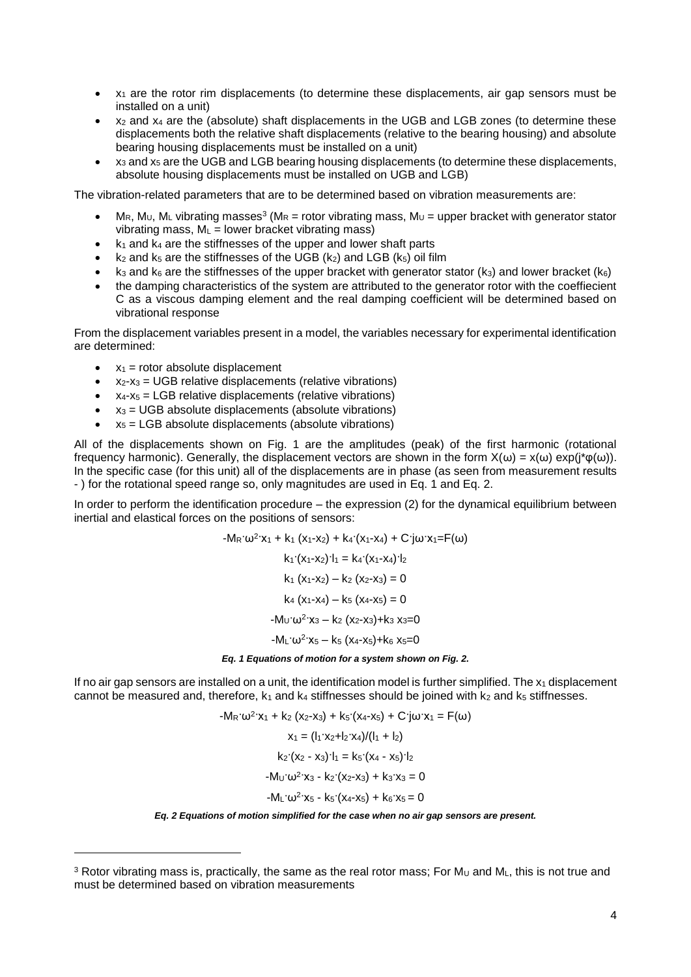- $x_1$  are the rotor rim displacements (to determine these displacements, air gap sensors must be installed on a unit)
- $x_2$  and  $x_4$  are the (absolute) shaft displacements in the UGB and LGB zones (to determine these displacements both the relative shaft displacements (relative to the bearing housing) and absolute bearing housing displacements must be installed on a unit)
- $x_3$  and  $x_5$  are the UGB and LGB bearing housing displacements (to determine these displacements, absolute housing displacements must be installed on UGB and LGB)

The vibration-related parameters that are to be determined based on vibration measurements are:

- MR, M<sub>U</sub>, M<sub>L</sub> vibrating masses<sup>3</sup> (M<sub>R</sub> = rotor vibrating mass, M<sub>U</sub> = upper bracket with generator stator vibrating mass,  $M_L$  = lower bracket vibrating mass)
- $k_1$  and  $k_4$  are the stiffnesses of the upper and lower shaft parts
- $k_2$  and  $k_5$  are the stiffnesses of the UGB ( $k_2$ ) and LGB ( $k_5$ ) oil film
- $k_3$  and  $k_6$  are the stiffnesses of the upper bracket with generator stator ( $k_3$ ) and lower bracket ( $k_6$ )
- the damping characteristics of the system are attributed to the generator rotor with the coeffiecient C as a viscous damping element and the real damping coefficient will be determined based on vibrational response

From the displacement variables present in a model, the variables necessary for experimental identification are determined:

 $\bullet$   $x_1$  = rotor absolute displacement

<span id="page-3-1"></span>l

- $x_2-x_3 = UGB$  relative displacements (relative vibrations)
- $x_4-x_5 = LGB$  relative displacements (relative vibrations)
- $x_3 = UGB$  absolute displacements (absolute vibrations)
- $x<sub>5</sub> = LGB$  absolute displacements (absolute vibrations)

All of the displacements shown on [Fig. 1](#page-1-0) are the amplitudes (peak) of the first harmonic (rotational frequency harmonic). Generally, the displacement vectors are shown in the form  $X(\omega) = x(\omega) \exp(i^*\varphi(\omega))$ . In the specific case (for this unit) all of the displacements are in phase (as seen from measurement results - ) for the rotational speed range so, only magnitudes are used in [Eq. 1](#page-3-0) and [Eq. 2.](#page-3-1)

In order to perform the identification procedure – the expression (2) for the dynamical equilibrium between inertial and elastical forces on the positions of sensors:

> $-M_R$ · $\omega^2$ · $x_1 + k_1$   $(x_1-x_2) + k_4$ · $(x_1-x_4) + C$ · $j\omega$ · $x_1 = F(\omega)$  $k_1$  $(x_1-x_2)$  $l_1 = k_4$  $(x_1-x_4)$  $l_2$  $k_1$  (x<sub>1</sub>-x<sub>2</sub>) – k<sub>2</sub> (x<sub>2</sub>-x<sub>3</sub>) = 0  $k_4$  (x<sub>1</sub>-x<sub>4</sub>) – k<sub>5</sub> (x<sub>4</sub>-x<sub>5</sub>) = 0  $-M_U \omega^2$  x<sub>3</sub> – k<sub>2</sub> (x<sub>2</sub>-x<sub>3</sub>)+k<sub>3</sub> x<sub>3</sub>=0  $-M_L \omega^2$   $x_5 - k_5 (x_4 - x_5) + k_6 x_5 = 0$ *Eq. 1 Equations of motion for a system shown on [Fig. 2.](#page-2-0)*

<span id="page-3-0"></span>If no air gap sensors are installed on a unit, the identification model is further simplified. The  $x_1$  displacement cannot be measured and, therefore,  $k_1$  and  $k_4$  stiffnesses should be joined with  $k_2$  and  $k_5$  stiffnesses.

> $-M_R \cdot \omega^2$   $x_1 + k_2 (x_2 - x_3) + k_5 (x_4 - x_5) + C \cdot j\omega \cdot x_1 = F(\omega)$  $x_1 = (l_1 \cdot x_2 + l_2 \cdot x_4)/(l_1 + l_2)$  $k_2$  $(x_2 - x_3)$  $l_1 = k_5 (x_4 - x_5)$  $l_2$  $-M_{U} \omega^{2}$  x<sub>3</sub> - k<sub>2</sub> (x<sub>2</sub>-x<sub>3</sub>) + k<sub>3</sub> x<sub>3</sub> = 0  $-M_L \omega^2$  x<sub>5</sub> - k<sub>5</sub> (x<sub>4</sub>-x<sub>5</sub>) + k<sub>6</sub> x<sub>5</sub> = 0

*Eq. 2 Equations of motion simplified for the case when no air gap sensors are present.*

<sup>&</sup>lt;sup>3</sup> Rotor vibrating mass is, practically, the same as the real rotor mass; For M<sub>U</sub> and ML, this is not true and must be determined based on vibration measurements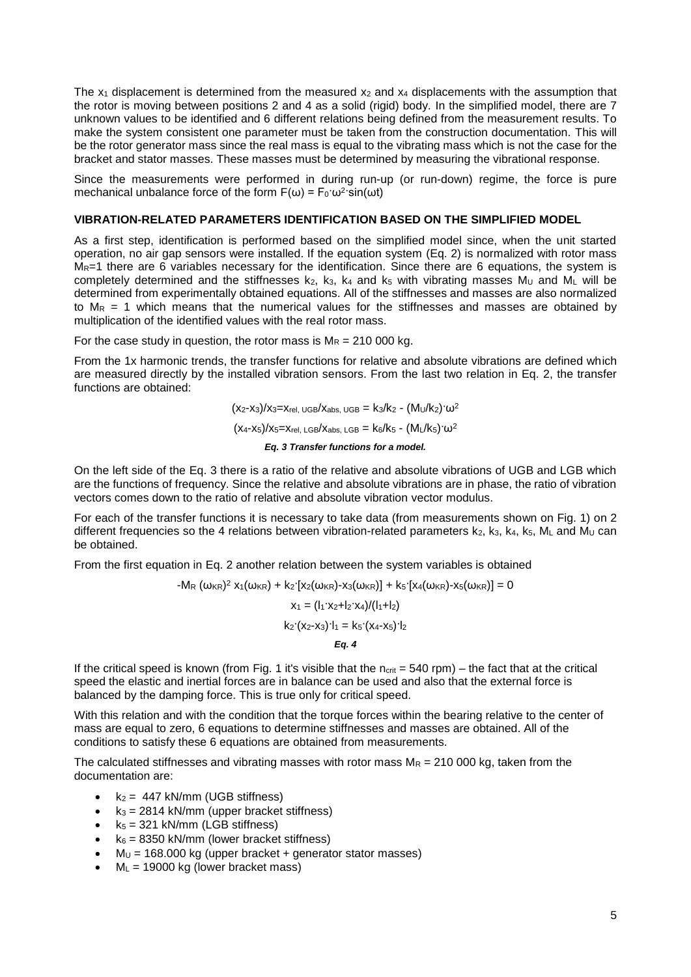The  $x_1$  displacement is determined from the measured  $x_2$  and  $x_4$  displacements with the assumption that the rotor is moving between positions 2 and 4 as a solid (rigid) body. In the simplified model, there are 7 unknown values to be identified and 6 different relations being defined from the measurement results. To make the system consistent one parameter must be taken from the construction documentation. This will be the rotor generator mass since the real mass is equal to the vibrating mass which is not the case for the bracket and stator masses. These masses must be determined by measuring the vibrational response.

Since the measurements were performed in during run-up (or run-down) regime, the force is pure mechanical unbalance force of the form  $F(\omega) = F_0 \cdot \omega^2 \cdot \sin(\omega t)$ 

### **VIBRATION-RELATED PARAMETERS IDENTIFICATION BASED ON THE SIMPLIFIED MODEL**

As a first step, identification is performed based on the simplified model since, when the unit started operation, no air gap sensors were installed. If the equation system [\(Eq. 2\)](#page-3-1) is normalized with rotor mass  $M_R$ =1 there are 6 variables necessary for the identification. Since there are 6 equations, the system is completely determined and the stiffnesses  $k_2$ ,  $k_3$ ,  $k_4$  and  $k_5$  with vibrating masses  $M_U$  and  $M_L$  will be determined from experimentally obtained equations. All of the stiffnesses and masses are also normalized to  $M_R = 1$  which means that the numerical values for the stiffnesses and masses are obtained by multiplication of the identified values with the real rotor mass.

For the case study in question, the rotor mass is  $M_R = 210000$  kg.

From the 1x harmonic trends, the transfer functions for relative and absolute vibrations are defined which are measured directly by the installed vibration sensors. From the last two relation in [Eq. 2,](#page-3-1) the transfer functions are obtained:

> $(x_2-x_3)/x_3=x_{rel, UGB}/x_{abs, UGB} = k_3/k_2 - (M_U/k_2) \cdot \omega^2$  $(x_4-x_5)/x_5=x_{rel. \text{LGB}}/x_{abs. \text{LGB}}=k_6/k_5 - (M_L/k_5) \cdot \omega^2$ *Eq. 3 Transfer functions for a model.*

<span id="page-4-0"></span>On the left side of the [Eq. 3](#page-4-0) there is a ratio of the relative and absolute vibrations of UGB and LGB which are the functions of frequency. Since the relative and absolute vibrations are in phase, the ratio of vibration vectors comes down to the ratio of relative and absolute vibration vector modulus.

For each of the transfer functions it is necessary to take data (from measurements shown on [Fig. 1\)](#page-1-0) on 2 different frequencies so the 4 relations between vibration-related parameters  $k_2$ ,  $k_3$ ,  $k_4$ ,  $k_5$ ,  $M_L$  and  $M_U$  can be obtained.

From the first equation in [Eq. 2](#page-3-1) another relation between the system variables is obtained

-M<sub>R</sub> (ω<sub>KR</sub>)<sup>2</sup> x<sub>1</sub>(ω<sub>KR</sub>) + k<sub>2</sub>·[x<sub>2</sub>(ω<sub>KR</sub>)-x<sub>3</sub>(ω<sub>KR</sub>)] + k<sub>5</sub>·[x<sub>4</sub>(ω<sub>KR</sub>)-x<sub>5</sub>(ω<sub>KR</sub>)] = 0  $x_1 = (l_1 \cdot x_2 + l_2 \cdot x_4) / (l_1 + l_2)$  $k_2$  $(x_2-x_3)$  $l_1 = k_5 (x_4-x_5)$  $l_2$ *Eq. 4*

If the critical speed is known (from [Fig. 1](#page-1-0) it's visible that the  $n_{crit} = 540$  rpm) – the fact that at the critical speed the elastic and inertial forces are in balance can be used and also that the external force is balanced by the damping force. This is true only for critical speed.

With this relation and with the condition that the torque forces within the bearing relative to the center of mass are equal to zero, 6 equations to determine stiffnesses and masses are obtained. All of the conditions to satisfy these 6 equations are obtained from measurements.

The calculated stiffnesses and vibrating masses with rotor mass  $M_R = 210 000 kg$ , taken from the documentation are:

- $k_2$  = 447 kN/mm (UGB stiffness)
- $k_3 = 2814$  kN/mm (upper bracket stiffness)
- $k_5 = 321$  kN/mm (LGB stiffness)
- $k_6 = 8350$  kN/mm (lower bracket stiffness)
- $\bullet$  M<sub>U</sub> = 168.000 kg (upper bracket + generator stator masses)
- $M_L$  = 19000 kg (lower bracket mass)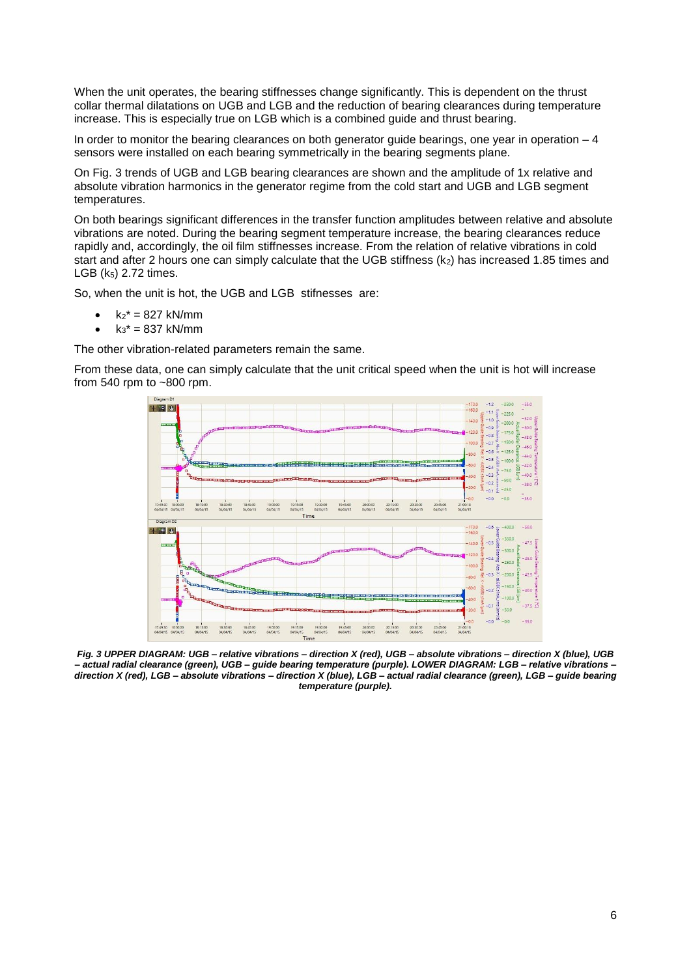When the unit operates, the bearing stiffnesses change significantly. This is dependent on the thrust collar thermal dilatations on UGB and LGB and the reduction of bearing clearances during temperature increase. This is especially true on LGB which is a combined guide and thrust bearing.

In order to monitor the bearing clearances on both generator guide bearings, one year in operation  $-4$ sensors were installed on each bearing symmetrically in the bearing segments plane.

On [Fig. 3](#page-5-0) trends of UGB and LGB bearing clearances are shown and the amplitude of 1x relative and absolute vibration harmonics in the generator regime from the cold start and UGB and LGB segment temperatures.

On both bearings significant differences in the transfer function amplitudes between relative and absolute vibrations are noted. During the bearing segment temperature increase, the bearing clearances reduce rapidly and, accordingly, the oil film stiffnesses increase. From the relation of relative vibrations in cold start and after 2 hours one can simply calculate that the UGB stiffness (k<sub>2</sub>) has increased 1.85 times and LGB  $(k_5)$  2.72 times.

So, when the unit is hot, the UGB and LGB stifnesses are:

- $k_2$ <sup>\*</sup> = 827 kN/mm
- $k_3^* = 837$  kN/mm

The other vibration-related parameters remain the same.

From these data, one can simply calculate that the unit critical speed when the unit is hot will increase from 540 rpm to ~800 rpm.



<span id="page-5-0"></span>*Fig. 3 UPPER DIAGRAM: UGB – relative vibrations – direction X (red), UGB – absolute vibrations – direction X (blue), UGB – actual radial clearance (green), UGB – guide bearing temperature (purple). LOWER DIAGRAM: LGB – relative vibrations – direction X (red), LGB – absolute vibrations – direction X (blue), LGB – actual radial clearance (green), LGB – guide bearing temperature (purple).*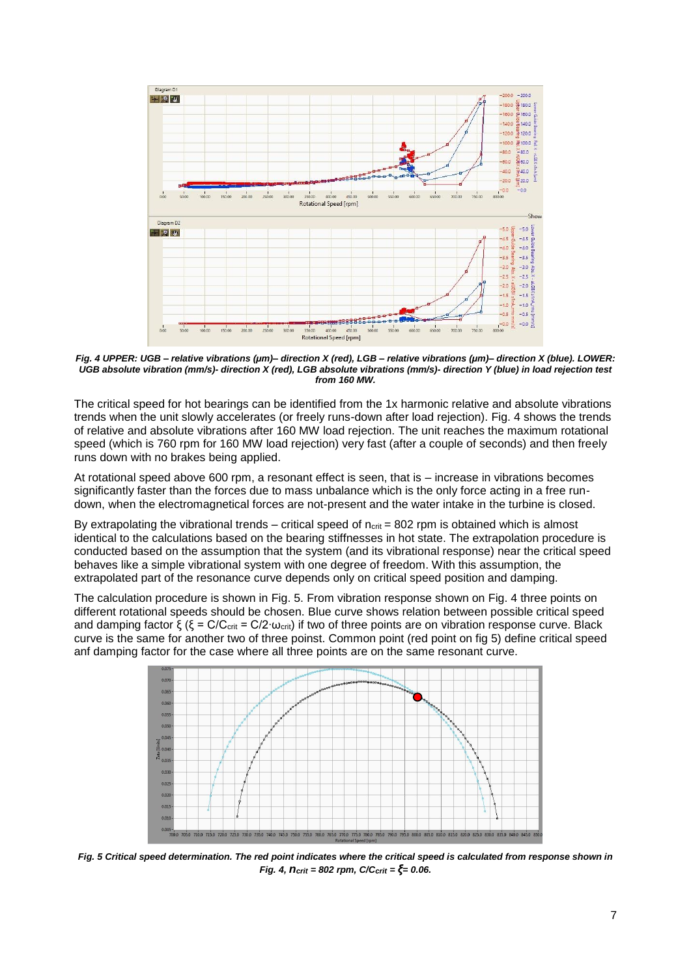

<span id="page-6-0"></span>*Fig. 4 UPPER: UGB – relative vibrations (µm)– direction X (red), LGB – relative vibrations (µm)– direction X (blue). LOWER: UGB absolute vibration (mm/s)- direction X (red), LGB absolute vibrations (mm/s)- direction Y (blue) in load rejection test from 160 MW.*

The critical speed for hot bearings can be identified from the 1x harmonic relative and absolute vibrations trends when the unit slowly accelerates (or freely runs-down after load rejection). [Fig. 4](#page-6-0) shows the trends of relative and absolute vibrations after 160 MW load rejection. The unit reaches the maximum rotational speed (which is 760 rpm for 160 MW load rejection) very fast (after a couple of seconds) and then freely runs down with no brakes being applied.

At rotational speed above 600 rpm, a resonant effect is seen, that is – increase in vibrations becomes significantly faster than the forces due to mass unbalance which is the only force acting in a free rundown, when the electromagnetical forces are not-present and the water intake in the turbine is closed.

By extrapolating the vibrational trends – critical speed of  $n_{crit}$  = 802 rpm is obtained which is almost identical to the calculations based on the bearing stiffnesses in hot state. The extrapolation procedure is conducted based on the assumption that the system (and its vibrational response) near the critical speed behaves like a simple vibrational system with one degree of freedom. With this assumption, the extrapolated part of the resonance curve depends only on critical speed position and damping.

The calculation procedure is shown in [Fig. 5.](#page-6-1) From vibration response shown on [Fig. 4](#page-6-0) three points on different rotational speeds should be chosen. Blue curve shows relation between possible critical speed and damping factor ξ (ξ = C/C<sub>crit</sub> = C/2⋅ω<sub>crit</sub>) if two of three points are on vibration response curve. Black curve is the same for another two of three poinst. Common point (red point on fig 5) define critical speed anf damping factor for the case where all three points are on the same resonant curve.



<span id="page-6-1"></span>*Fig. 5 Critical speed determination. The red point indicates where the critical speed is calculated from response shown in [Fig. 4,](#page-6-0) ncrit = 802 rpm, C/Ccrit = ξ= 0.06.*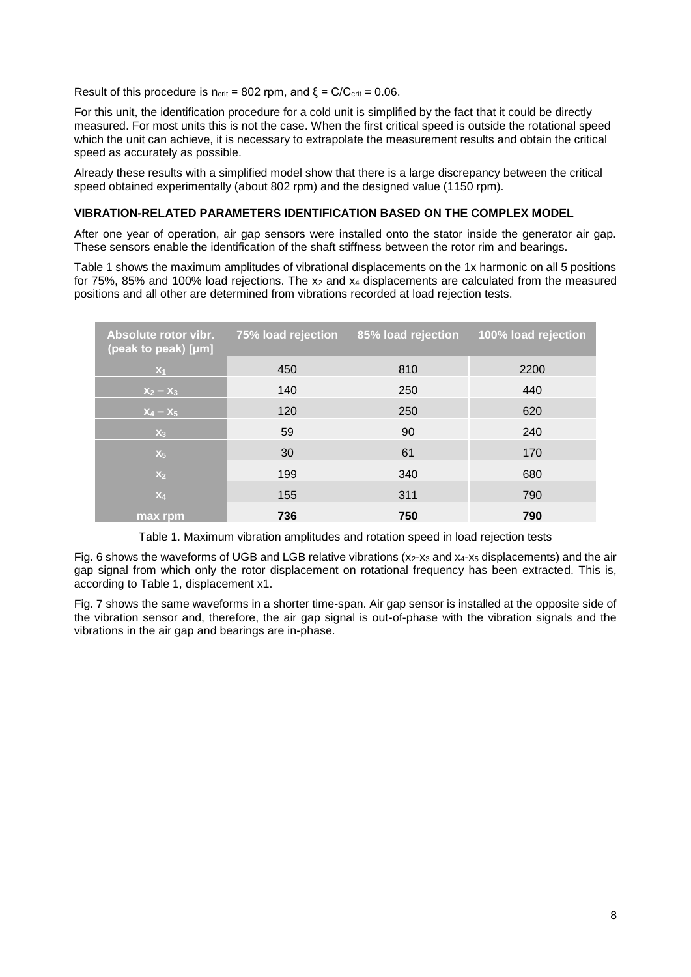Result of this procedure is  $n_{crit}$  = 802 rpm, and  $\xi$  = C/C<sub>crit</sub> = 0.06.

For this unit, the identification procedure for a cold unit is simplified by the fact that it could be directly measured. For most units this is not the case. When the first critical speed is outside the rotational speed which the unit can achieve, it is necessary to extrapolate the measurement results and obtain the critical speed as accurately as possible.

Already these results with a simplified model show that there is a large discrepancy between the critical speed obtained experimentally (about 802 rpm) and the designed value (1150 rpm).

### **VIBRATION-RELATED PARAMETERS IDENTIFICATION BASED ON THE COMPLEX MODEL**

After one year of operation, air gap sensors were installed onto the stator inside the generator air gap. These sensors enable the identification of the shaft stiffness between the rotor rim and bearings.

[Table 1](#page-7-0) shows the maximum amplitudes of vibrational displacements on the 1x harmonic on all 5 positions for  $75\%$ , 85% and 100% load rejections. The  $x_2$  and  $x_4$  displacements are calculated from the measured positions and all other are determined from vibrations recorded at load rejection tests.

| Absolute rotor vibr.<br>(peak to peak) [µm] | 75% load rejection | 85% load rejection | 100% load rejection |
|---------------------------------------------|--------------------|--------------------|---------------------|
| $X_1$                                       | 450                | 810                | 2200                |
| $X_2 - X_3$                                 | 140                | 250                | 440                 |
| $X_4 - X_5$                                 | 120                | 250                | 620                 |
| $X_3$                                       | 59                 | 90                 | 240                 |
| $X_5$                                       | 30                 | 61                 | 170                 |
| X <sub>2</sub>                              | 199                | 340                | 680                 |
| $X_4$                                       | 155                | 311                | 790                 |
| max rpm                                     | 736                | 750                | 790                 |

Table 1. Maximum vibration amplitudes and rotation speed in load rejection tests

<span id="page-7-0"></span>[Fig. 6](#page-8-0) shows the waveforms of UGB and LGB relative vibrations (x<sub>2</sub>-x<sub>3</sub> and x<sub>4</sub>-x<sub>5</sub> displacements) and the air gap signal from which only the rotor displacement on rotational frequency has been extracted. This is, according to [Table 1,](#page-7-0) displacement x1.

[Fig. 7](#page-8-1) shows the same waveforms in a shorter time-span. Air gap sensor is installed at the opposite side of the vibration sensor and, therefore, the air gap signal is out-of-phase with the vibration signals and the vibrations in the air gap and bearings are in-phase.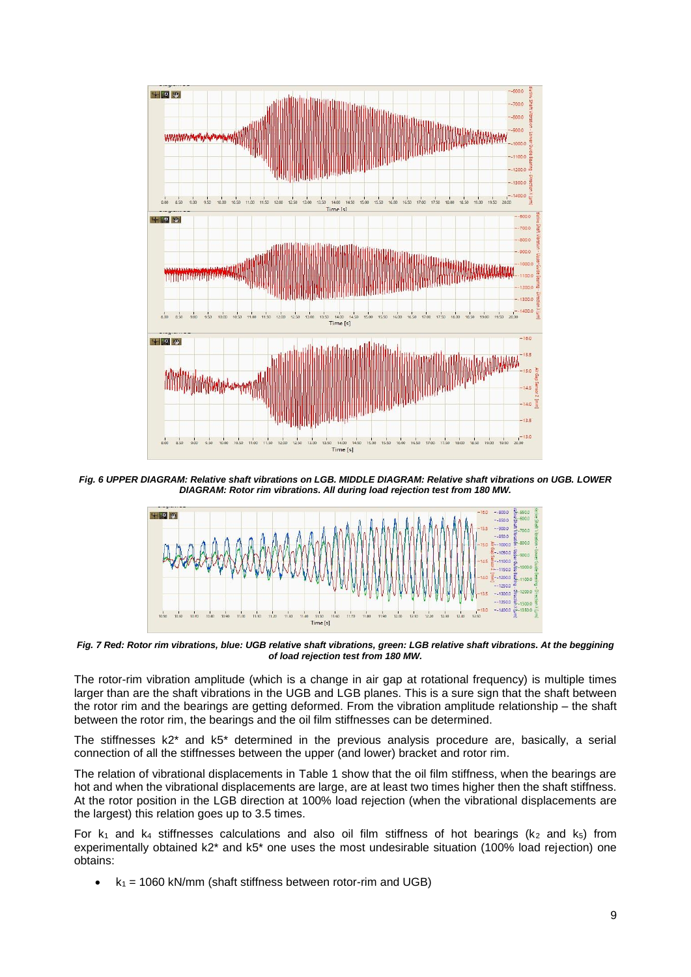

*Fig. 6 UPPER DIAGRAM: Relative shaft vibrations on LGB. MIDDLE DIAGRAM: Relative shaft vibrations on UGB. LOWER DIAGRAM: Rotor rim vibrations. All during load rejection test from 180 MW.*

<span id="page-8-0"></span>

<span id="page-8-1"></span>*Fig. 7 Red: Rotor rim vibrations, blue: UGB relative shaft vibrations, green: LGB relative shaft vibrations. At the beggining of load rejection test from 180 MW.*

The rotor-rim vibration amplitude (which is a change in air gap at rotational frequency) is multiple times larger than are the shaft vibrations in the UGB and LGB planes. This is a sure sign that the shaft between the rotor rim and the bearings are getting deformed. From the vibration amplitude relationship – the shaft between the rotor rim, the bearings and the oil film stiffnesses can be determined.

The stiffnesses k2\* and k5\* determined in the previous analysis procedure are, basically, a serial connection of all the stiffnesses between the upper (and lower) bracket and rotor rim.

The relation of vibrational displacements in [Table 1](#page-7-0) show that the oil film stiffness, when the bearings are hot and when the vibrational displacements are large, are at least two times higher then the shaft stiffness. At the rotor position in the LGB direction at 100% load rejection (when the vibrational displacements are the largest) this relation goes up to 3.5 times.

For  $k_1$  and  $k_4$  stiffnesses calculations and also oil film stiffness of hot bearings ( $k_2$  and  $k_5$ ) from experimentally obtained k2<sup>\*</sup> and k5<sup>\*</sup> one uses the most undesirable situation (100% load rejection) one obtains:

 $k_1$  = 1060 kN/mm (shaft stiffness between rotor-rim and UGB)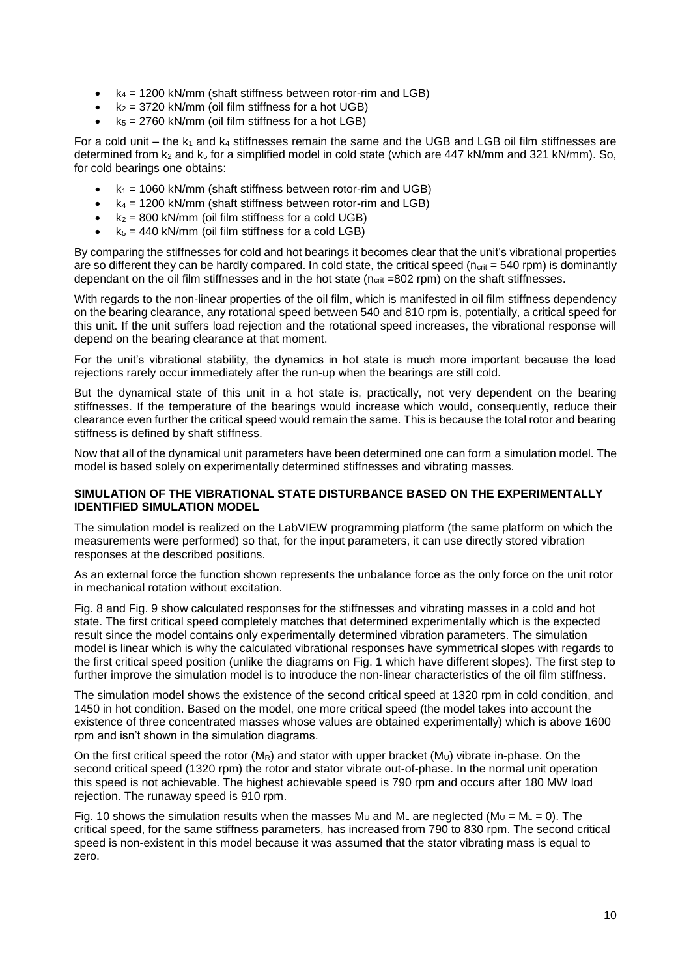- $k_4 = 1200$  kN/mm (shaft stiffness between rotor-rim and LGB)
- $k_2$  = 3720 kN/mm (oil film stiffness for a hot UGB)
- $k_5 = 2760$  kN/mm (oil film stiffness for a hot LGB)

For a cold unit – the  $k_1$  and  $k_4$  stiffnesses remain the same and the UGB and LGB oil film stiffnesses are determined from  $k_2$  and  $k_5$  for a simplified model in cold state (which are 447 kN/mm and 321 kN/mm). So, for cold bearings one obtains:

- $k_1$  = 1060 kN/mm (shaft stiffness between rotor-rim and UGB)
- $\cdot$   $k_4$  = 1200 kN/mm (shaft stiffness between rotor-rim and LGB)
- $k_2$  = 800 kN/mm (oil film stiffness for a cold UGB)
- $k_5 = 440$  kN/mm (oil film stiffness for a cold LGB)

By comparing the stiffnesses for cold and hot bearings it becomes clear that the unit's vibrational properties are so different they can be hardly compared. In cold state, the critical speed ( $n_{crit}$  = 540 rpm) is dominantly dependant on the oil film stiffnesses and in the hot state (ncrit =802 rpm) on the shaft stiffnesses.

With regards to the non-linear properties of the oil film, which is manifested in oil film stiffness dependency on the bearing clearance, any rotational speed between 540 and 810 rpm is, potentially, a critical speed for this unit. If the unit suffers load rejection and the rotational speed increases, the vibrational response will depend on the bearing clearance at that moment.

For the unit's vibrational stability, the dynamics in hot state is much more important because the load rejections rarely occur immediately after the run-up when the bearings are still cold.

But the dynamical state of this unit in a hot state is, practically, not very dependent on the bearing stiffnesses. If the temperature of the bearings would increase which would, consequently, reduce their clearance even further the critical speed would remain the same. This is because the total rotor and bearing stiffness is defined by shaft stiffness.

Now that all of the dynamical unit parameters have been determined one can form a simulation model. The model is based solely on experimentally determined stiffnesses and vibrating masses.

# **SIMULATION OF THE VIBRATIONAL STATE DISTURBANCE BASED ON THE EXPERIMENTALLY IDENTIFIED SIMULATION MODEL**

The simulation model is realized on the LabVIEW programming platform (the same platform on which the measurements were performed) so that, for the input parameters, it can use directly stored vibration responses at the described positions.

As an external force the function shown represents the unbalance force as the only force on the unit rotor in mechanical rotation without excitation.

[Fig. 8](#page-10-0) and [Fig. 9](#page-10-1) show calculated responses for the stiffnesses and vibrating masses in a cold and hot state. The first critical speed completely matches that determined experimentally which is the expected result since the model contains only experimentally determined vibration parameters. The simulation model is linear which is why the calculated vibrational responses have symmetrical slopes with regards to the first critical speed position (unlike the diagrams on [Fig. 1](#page-1-0) which have different slopes). The first step to further improve the simulation model is to introduce the non-linear characteristics of the oil film stiffness.

The simulation model shows the existence of the second critical speed at 1320 rpm in cold condition, and 1450 in hot condition. Based on the model, one more critical speed (the model takes into account the existence of three concentrated masses whose values are obtained experimentally) which is above 1600 rpm and isn't shown in the simulation diagrams.

On the first critical speed the rotor (MR) and stator with upper bracket (Mu) vibrate in-phase. On the second critical speed (1320 rpm) the rotor and stator vibrate out-of-phase. In the normal unit operation this speed is not achievable. The highest achievable speed is 790 rpm and occurs after 180 MW load rejection. The runaway speed is 910 rpm.

[Fig. 10](#page-10-2) shows the simulation results when the masses M<sub>U</sub> and M<sub>L</sub> are neglected (M<sub>U</sub> = M<sub>L</sub> = 0). The critical speed, for the same stiffness parameters, has increased from 790 to 830 rpm. The second critical speed is non-existent in this model because it was assumed that the stator vibrating mass is equal to zero.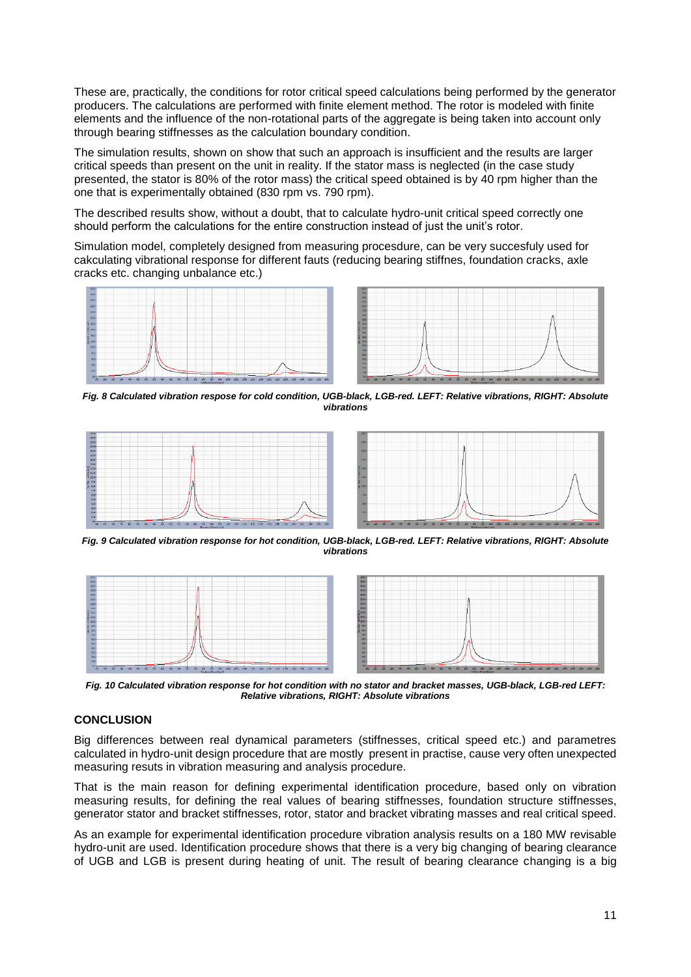These are, practically, the conditions for rotor critical speed calculations being performed by the generator producers. The calculations are performed with finite element method. The rotor is modeled with finite elements and the influence of the non-rotational parts of the aggregate is being taken into account only through bearing stiffnesses as the calculation boundary condition.

The simulation results, shown on show that such an approach is insufficient and the results are larger critical speeds than present on the unit in reality. If the stator mass is neglected (in the case study presented, the stator is 80% of the rotor mass) the critical speed obtained is by 40 rpm higher than the one that is experimentally obtained (830 rpm vs. 790 rpm).

The described results show, without a doubt, that to calculate hydro-unit critical speed correctly one should perform the calculations for the entire construction instead of just the unit's rotor.

Simulation model, completely designed from measuring procesdure, can be very succesfuly used for cakculating vibrational response for different fauts (reducing bearing stiffnes, foundation cracks, axle cracks etc. changing unbalance etc.)





<span id="page-10-0"></span>*Fig. 8 Calculated vibration respose for cold condition, UGB-black, LGB-red. LEFT: Relative vibrations, RIGHT: Absolute vibrations*





<span id="page-10-1"></span>*Fig. 9 Calculated vibration response for hot condition, UGB-black, LGB-red. LEFT: Relative vibrations, RIGHT: Absolute vibrations*



<span id="page-10-2"></span>*Fig. 10 Calculated vibration response for hot condition with no stator and bracket masses, UGB-black, LGB-red LEFT: Relative vibrations, RIGHT: Absolute vibrations*

# **CONCLUSION**

Big differences between real dynamical parameters (stiffnesses, critical speed etc.) and parametres calculated in hydro-unit design procedure that are mostly present in practise, cause very often unexpected measuring resuts in vibration measuring and analysis procedure.

That is the main reason for defining experimental identification procedure, based only on vibration measuring results, for defining the real values of bearing stiffnesses, foundation structure stiffnesses, generator stator and bracket stiffnesses, rotor, stator and bracket vibrating masses and real critical speed.

As an example for experimental identification procedure vibration analysis results on a 180 MW revisable hydro-unit are used. Identification procedure shows that there is a very big changing of bearing clearance of UGB and LGB is present during heating of unit. The result of bearing clearance changing is a big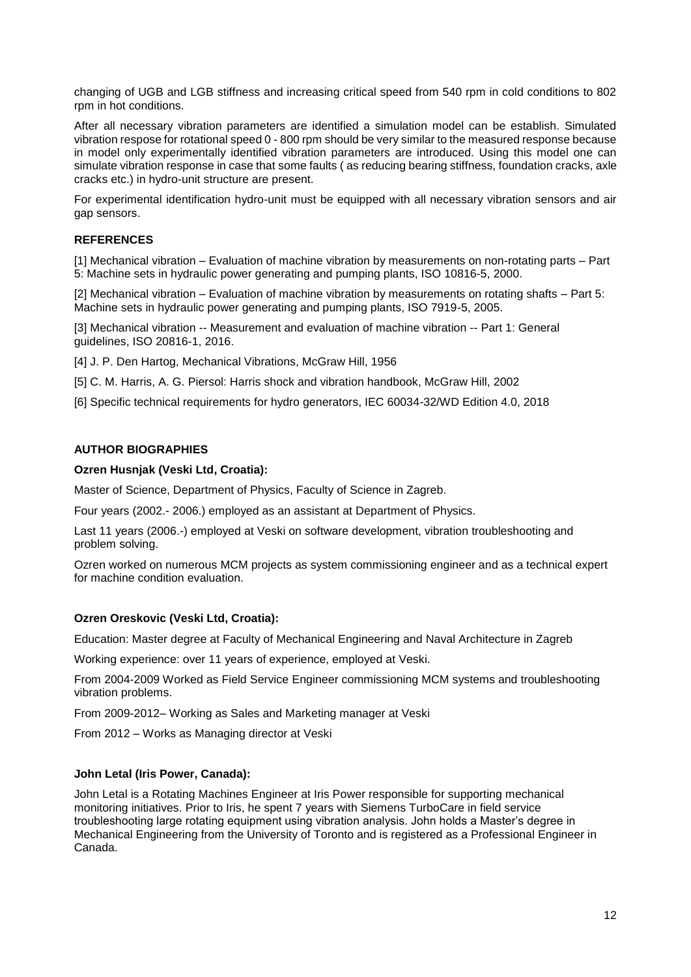changing of UGB and LGB stiffness and increasing critical speed from 540 rpm in cold conditions to 802 rpm in hot conditions.

After all necessary vibration parameters are identified a simulation model can be establish. Simulated vibration respose for rotational speed 0 - 800 rpm should be very similar to the measured response because in model only experimentally identified vibration parameters are introduced. Using this model one can simulate vibration response in case that some faults ( as reducing bearing stiffness, foundation cracks, axle cracks etc.) in hydro-unit structure are present.

For experimental identification hydro-unit must be equipped with all necessary vibration sensors and air gap sensors.

# **REFERENCES**

[1] Mechanical vibration – Evaluation of machine vibration by measurements on non-rotating parts – Part 5: Machine sets in hydraulic power generating and pumping plants, ISO 10816-5, 2000.

[2] Mechanical vibration – Evaluation of machine vibration by measurements on rotating shafts – Part 5: Machine sets in hydraulic power generating and pumping plants, ISO 7919-5, 2005.

[3] Mechanical vibration -- Measurement and evaluation of machine vibration -- Part 1: General guidelines, ISO 20816-1, 2016.

[4] J. P. Den Hartog, Mechanical Vibrations, McGraw Hill, 1956

[5] C. M. Harris, A. G. Piersol: Harris shock and vibration handbook, McGraw Hill, 2002

[6] Specific technical requirements for hydro generators, IEC 60034-32/WD Edition 4.0, 2018

### **AUTHOR BIOGRAPHIES**

### **Ozren Husnjak (Veski Ltd, Croatia):**

Master of Science, Department of Physics, Faculty of Science in Zagreb.

Four years (2002.- 2006.) employed as an assistant at Department of Physics.

Last 11 years (2006.-) employed at Veski on software development, vibration troubleshooting and problem solving.

Ozren worked on numerous MCM projects as system commissioning engineer and as a technical expert for machine condition evaluation.

### **Ozren Oreskovic (Veski Ltd, Croatia):**

Education: Master degree at Faculty of Mechanical Engineering and Naval Architecture in Zagreb

Working experience: over 11 years of experience, employed at Veski.

From 2004-2009 Worked as Field Service Engineer commissioning MCM systems and troubleshooting vibration problems.

From 2009-2012– Working as Sales and Marketing manager at Veski

From 2012 – Works as Managing director at Veski

### **John Letal (Iris Power, Canada):**

John Letal is a Rotating Machines Engineer at Iris Power responsible for supporting mechanical monitoring initiatives. Prior to Iris, he spent 7 years with Siemens TurboCare in field service troubleshooting large rotating equipment using vibration analysis. John holds a Master's degree in Mechanical Engineering from the University of Toronto and is registered as a Professional Engineer in Canada.